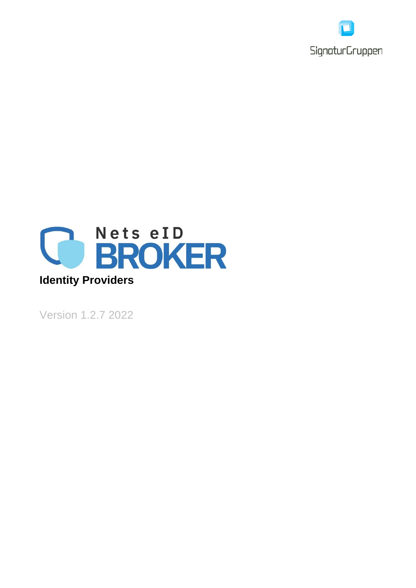



Version 1.2.7 2022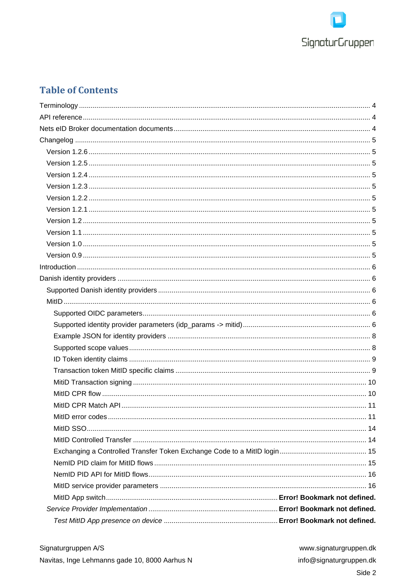

# **Table of Contents**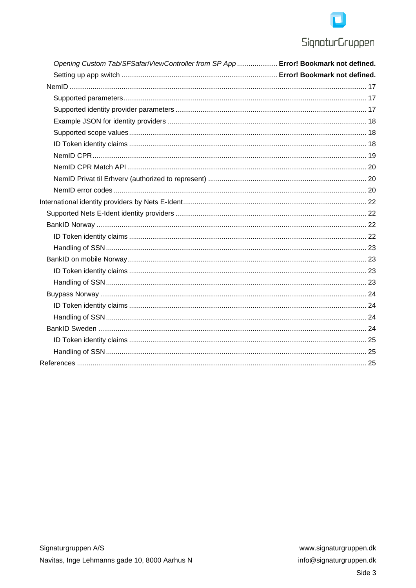# **SignaturGruppen**

| Opening Custom Tab/SFSafariViewController from SP App  Error! Bookmark not defined. |  |
|-------------------------------------------------------------------------------------|--|
|                                                                                     |  |
|                                                                                     |  |
|                                                                                     |  |
|                                                                                     |  |
|                                                                                     |  |
|                                                                                     |  |
|                                                                                     |  |
|                                                                                     |  |
|                                                                                     |  |
|                                                                                     |  |
|                                                                                     |  |
|                                                                                     |  |
|                                                                                     |  |
|                                                                                     |  |
|                                                                                     |  |
|                                                                                     |  |
|                                                                                     |  |
|                                                                                     |  |
|                                                                                     |  |
|                                                                                     |  |
|                                                                                     |  |
|                                                                                     |  |
|                                                                                     |  |
|                                                                                     |  |
|                                                                                     |  |
|                                                                                     |  |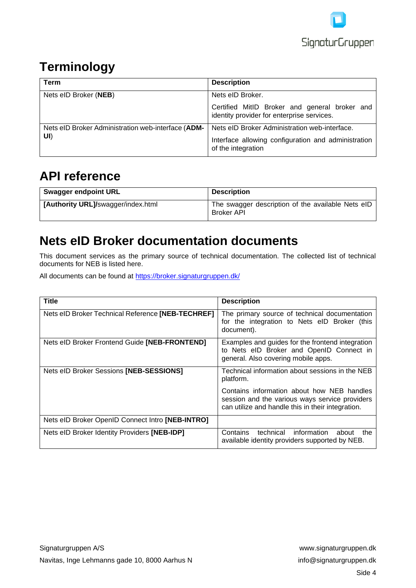

# <span id="page-3-0"></span>**Terminology**

| Term                                               | <b>Description</b>                                                                          |
|----------------------------------------------------|---------------------------------------------------------------------------------------------|
| Nets eID Broker (NEB)                              | Nets eID Broker.                                                                            |
|                                                    | Certified MitID Broker and general broker and<br>identity provider for enterprise services. |
| Nets eID Broker Administration web-interface (ADM- | Nets eID Broker Administration web-interface.                                               |
| UI)                                                | Interface allowing configuration and administration<br>of the integration                   |

# <span id="page-3-1"></span>**API reference**

| <b>Swagger endpoint URL</b>        | <b>Description</b>                                                     |
|------------------------------------|------------------------------------------------------------------------|
| [Authority URL]/swagger/index.html | The swagger description of the available Nets eID<br><b>Broker API</b> |

# <span id="page-3-2"></span>**Nets eID Broker documentation documents**

This document services as the primary source of technical documentation. The collected list of technical documents for NEB is listed here.

All documents can be found at [https://broker.signaturgruppen.dk/](https://broker.signaturgruppen.dk/teknisk-dokumentation)

| <b>Title</b>                                      | <b>Description</b>                                                                                                                                |
|---------------------------------------------------|---------------------------------------------------------------------------------------------------------------------------------------------------|
| Nets eID Broker Technical Reference [NEB-TECHREF] | The primary source of technical documentation<br>for the integration to Nets eID Broker (this<br>document).                                       |
| Nets eID Broker Frontend Guide [NEB-FRONTEND]     | Examples and guides for the frontend integration<br>to Nets eID Broker and OpenID Connect in<br>general. Also covering mobile apps.               |
| Nets eID Broker Sessions [NEB-SESSIONS]           | Technical information about sessions in the NEB<br>platform.                                                                                      |
|                                                   | Contains information about how NEB handles<br>session and the various ways service providers<br>can utilize and handle this in their integration. |
| Nets eID Broker OpenID Connect Intro [NEB-INTRO]  |                                                                                                                                                   |
| Nets eID Broker Identity Providers [NEB-IDP]      | information<br>technical<br>Contains<br>about<br>the<br>available identity providers supported by NEB.                                            |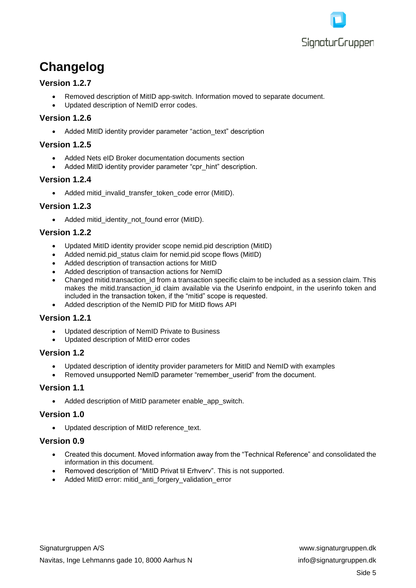

# <span id="page-4-0"></span>**Changelog**

# **Version 1.2.7**

- Removed description of MitID app-switch. Information moved to separate document.
- Updated description of NemID error codes.

# <span id="page-4-1"></span>**Version 1.2.6**

• Added MitID identity provider parameter "action text" description

### <span id="page-4-2"></span>**Version 1.2.5**

- Added Nets eID Broker documentation documents section
- Added MitID identity provider parameter "cpr\_hint" description.

# <span id="page-4-3"></span>**Version 1.2.4**

• Added mitid\_invalid\_transfer\_token\_code error (MitID).

### <span id="page-4-4"></span>**Version 1.2.3**

• Added mitid identity not found error (MitID).

# <span id="page-4-5"></span>**Version 1.2.2**

- Updated MitID identity provider scope nemid.pid description (MitID)
- Added nemid.pid\_status claim for nemid.pid scope flows (MitID)
- Added description of transaction actions for MitID
- Added description of transaction actions for NemID
- Changed mitid.transaction id from a transaction specific claim to be included as a session claim. This makes the mitid.transaction id claim available via the Userinfo endpoint, in the userinfo token and included in the transaction token, if the "mitid" scope is requested.
- Added description of the NemID PID for MitID flows API

# <span id="page-4-6"></span>**Version 1.2.1**

- Updated description of NemID Private to Business
- Updated description of MitID error codes

### <span id="page-4-7"></span>**Version 1.2**

- Updated description of identity provider parameters for MitID and NemID with examples
- Removed unsupported NemID parameter "remember\_userid" from the document.

### <span id="page-4-8"></span>**Version 1.1**

• Added description of MitID parameter enable app switch.

### <span id="page-4-9"></span>**Version 1.0**

• Updated description of MitID reference\_text.

### <span id="page-4-10"></span>**Version 0.9**

- Created this document. Moved information away from the "Technical Reference" and consolidated the information in this document.
- Removed description of "MitID Privat til Erhverv". This is not supported.
- Added MitID error: mitid\_anti\_forgery\_validation\_error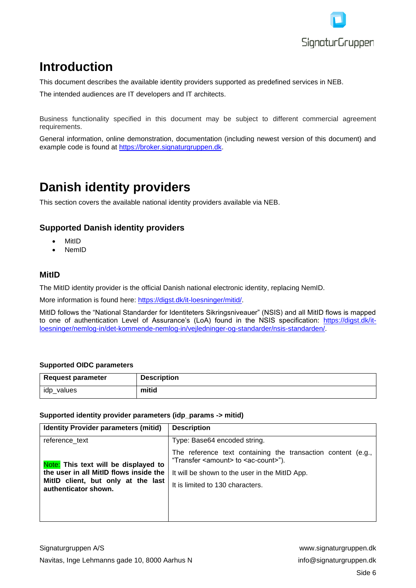

# <span id="page-5-0"></span>**Introduction**

This document describes the available identity providers supported as predefined services in NEB.

The intended audiences are IT developers and IT architects.

Business functionality specified in this document may be subject to different commercial agreement requirements.

General information, online demonstration, documentation (including newest version of this document) and example code is found at [https://broker.signaturgruppen.dk.](https://broker.signaturgruppen.dk/)

# <span id="page-5-1"></span>**Danish identity providers**

This section covers the available national identity providers available via NEB.

# <span id="page-5-2"></span>**Supported Danish identity providers**

- MitID
- NemID

# <span id="page-5-3"></span>**MitID**

The MitID identity provider is the official Danish national electronic identity, replacing NemID.

More information is found here: [https://digst.dk/it-loesninger/mitid/.](https://digst.dk/it-loesninger/mitid/)

MitID follows the "National Standarder for Identiteters Sikringsniveauer" (NSIS) and all MitID flows is mapped to one of authentication Level of Assurance's (LoA) found in the NSIS specification: [https://digst.dk/it](https://digst.dk/it-loesninger/nemlog-in/det-kommende-nemlog-in/vejledninger-og-standarder/nsis-standarden/)[loesninger/nemlog-in/det-kommende-nemlog-in/vejledninger-og-standarder/nsis-standarden/.](https://digst.dk/it-loesninger/nemlog-in/det-kommende-nemlog-in/vejledninger-og-standarder/nsis-standarden/)

#### <span id="page-5-4"></span>**Supported OIDC parameters**

| <b>Request parameter</b> | <b>Description</b> |
|--------------------------|--------------------|
| idp_values               | mitid              |

#### <span id="page-5-5"></span>**Supported identity provider parameters (idp\_params -> mitid)**

| <b>Identity Provider parameters (mitid)</b>                                                                                                  | <b>Description</b>                                                                                                      |
|----------------------------------------------------------------------------------------------------------------------------------------------|-------------------------------------------------------------------------------------------------------------------------|
| reference_text                                                                                                                               | Type: Base64 encoded string.                                                                                            |
| Note: This text will be displayed to<br>the user in all MitID flows inside the<br>MitID client, but only at the last<br>authenticator shown. | The reference text containing the transaction content (e.g.,<br>"Transfer <amount> to <ac-count>").</ac-count></amount> |
|                                                                                                                                              | It will be shown to the user in the MitID App.                                                                          |
|                                                                                                                                              | It is limited to 130 characters.                                                                                        |
|                                                                                                                                              |                                                                                                                         |
|                                                                                                                                              |                                                                                                                         |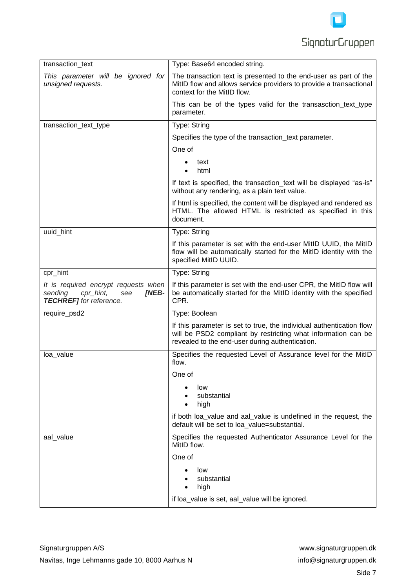

| transaction_text                                                                                               | Type: Base64 encoded string.                                                                                                                                                             |
|----------------------------------------------------------------------------------------------------------------|------------------------------------------------------------------------------------------------------------------------------------------------------------------------------------------|
| This parameter will be ignored for<br>unsigned requests.                                                       | The transaction text is presented to the end-user as part of the<br>MitID flow and allows service providers to provide a transactional<br>context for the MitID flow.                    |
|                                                                                                                | This can be of the types valid for the transasction_text_type<br>parameter.                                                                                                              |
| transaction_text_type                                                                                          | Type: String                                                                                                                                                                             |
|                                                                                                                | Specifies the type of the transaction_text parameter.                                                                                                                                    |
|                                                                                                                | One of                                                                                                                                                                                   |
|                                                                                                                | text<br>html                                                                                                                                                                             |
|                                                                                                                | If text is specified, the transaction text will be displayed "as-is"<br>without any rendering, as a plain text value.                                                                    |
|                                                                                                                | If html is specified, the content will be displayed and rendered as<br>HTML. The allowed HTML is restricted as specified in this<br>document.                                            |
| uuid_hint                                                                                                      | Type: String                                                                                                                                                                             |
|                                                                                                                | If this parameter is set with the end-user MitID UUID, the MitID<br>flow will be automatically started for the MitID identity with the<br>specified MitID UUID.                          |
| cpr_hint                                                                                                       | Type: String                                                                                                                                                                             |
| It is required encrypt requests when<br>sending<br>cpr_hint,<br>see<br>[NEB-<br><b>TECHREF]</b> for reference. | If this parameter is set with the end-user CPR, the MitID flow will<br>be automatically started for the MitID identity with the specified<br>CPR.                                        |
| require_psd2                                                                                                   | Type: Boolean                                                                                                                                                                            |
|                                                                                                                | If this parameter is set to true, the individual authentication flow<br>will be PSD2 compliant by restricting what information can be<br>revealed to the end-user during authentication. |
| loa_value                                                                                                      | Specifies the requested Level of Assurance level for the MitID<br>flow.                                                                                                                  |
|                                                                                                                | One of                                                                                                                                                                                   |
|                                                                                                                | low<br>substantial<br>high                                                                                                                                                               |
|                                                                                                                | if both loa_value and aal_value is undefined in the request, the<br>default will be set to loa value=substantial.                                                                        |
| aal_value                                                                                                      | Specifies the requested Authenticator Assurance Level for the<br>MitID flow.                                                                                                             |
|                                                                                                                | One of                                                                                                                                                                                   |
|                                                                                                                | low<br>substantial<br>high                                                                                                                                                               |
|                                                                                                                | if loa_value is set, aal_value will be ignored.                                                                                                                                          |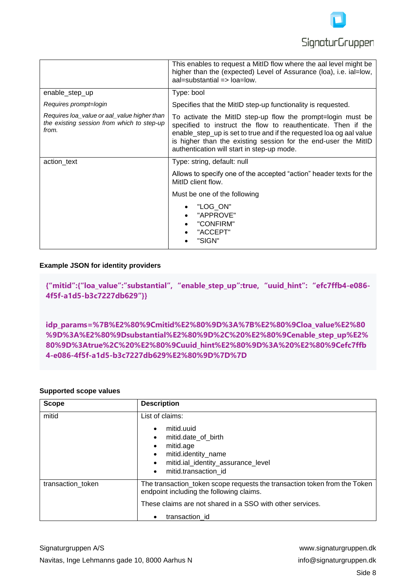

|                                                                                                    | This enables to request a MitID flow where the aal level might be<br>higher than the (expected) Level of Assurance (loa), i.e. ial=low,<br>$aal = substantial = >  oa =  ow .$                                                                                                                                      |
|----------------------------------------------------------------------------------------------------|---------------------------------------------------------------------------------------------------------------------------------------------------------------------------------------------------------------------------------------------------------------------------------------------------------------------|
| enable_step_up                                                                                     | Type: bool                                                                                                                                                                                                                                                                                                          |
| Requires prompt=login                                                                              | Specifies that the MitID step-up functionality is requested.                                                                                                                                                                                                                                                        |
| Requires loa value or aal value higher than<br>the existing session from which to step-up<br>from. | To activate the MitID step-up flow the prompt=login must be<br>specified to instruct the flow to reauthenticate. Then if the<br>enable_step_up is set to true and if the requested loa og aal value<br>is higher than the existing session for the end-user the MitID<br>authentication will start in step-up mode. |
| action_text                                                                                        | Type: string, default: null                                                                                                                                                                                                                                                                                         |
|                                                                                                    | Allows to specify one of the accepted "action" header texts for the<br>MitID client flow.                                                                                                                                                                                                                           |
|                                                                                                    | Must be one of the following                                                                                                                                                                                                                                                                                        |
|                                                                                                    | "LOG_ON"<br>"APPROVE"<br>"CONFIRM"<br>"ACCEPT"<br>"SIGN"                                                                                                                                                                                                                                                            |

#### <span id="page-7-0"></span>**Example JSON for identity providers**

**{"mitid":{"loa\_value":"substantial", "enable\_step\_up":true, "uuid\_hint": "efc7ffb4-e086- 4f5f-a1d5-b3c7227db629"}}**

**idp\_params=%7B%E2%80%9Cmitid%E2%80%9D%3A%7B%E2%80%9Cloa\_value%E2%80 %9D%3A%E2%80%9Dsubstantial%E2%80%9D%2C%20%E2%80%9Cenable\_step\_up%E2% 80%9D%3Atrue%2C%20%E2%80%9Cuuid\_hint%E2%80%9D%3A%20%E2%80%9Cefc7ffb 4-e086-4f5f-a1d5-b3c7227db629%E2%80%9D%7D%7D**

#### <span id="page-7-1"></span>**Supported scope values**

| <b>Scope</b>      | <b>Description</b>                                                                                                                                                                                   |
|-------------------|------------------------------------------------------------------------------------------------------------------------------------------------------------------------------------------------------|
| mitid             | List of claims:<br>mitid.uuid<br>mitid.date of birth<br>٠<br>mitid.age<br>mitid.identity_name<br>$\bullet$<br>mitid.ial_identity_assurance_level<br>$\bullet$<br>mitid.transaction id<br>$\bullet$   |
| transaction token | The transaction_token scope requests the transaction token from the Token<br>endpoint including the following claims.<br>These claims are not shared in a SSO with other services.<br>transaction id |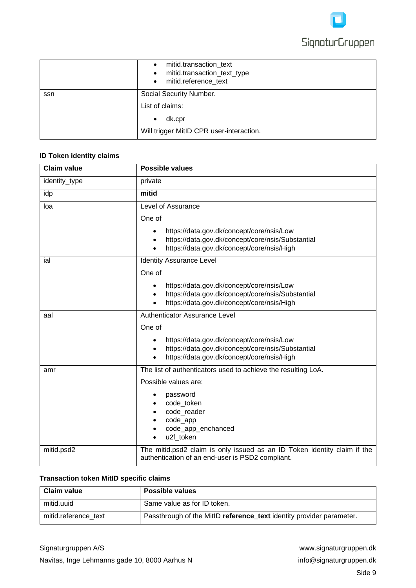

|     | mitid.transaction_text<br>$\bullet$<br>mitid.transaction_text_type<br>$\bullet$<br>• mitid.reference_text |
|-----|-----------------------------------------------------------------------------------------------------------|
| ssn | Social Security Number.                                                                                   |
|     | List of claims:                                                                                           |
|     | dk.cpr<br>$\bullet$                                                                                       |
|     | Will trigger MitID CPR user-interaction.                                                                  |

# <span id="page-8-0"></span>**ID Token identity claims**

| <b>Claim value</b> | <b>Possible values</b>                                                                                                                                         |
|--------------------|----------------------------------------------------------------------------------------------------------------------------------------------------------------|
| identity_type      | private                                                                                                                                                        |
| idp                | mitid                                                                                                                                                          |
| loa                | Level of Assurance                                                                                                                                             |
|                    | One of                                                                                                                                                         |
|                    | https://data.gov.dk/concept/core/nsis/Low<br>https://data.gov.dk/concept/core/nsis/Substantial<br>https://data.gov.dk/concept/core/nsis/High                   |
| ial                | <b>Identity Assurance Level</b>                                                                                                                                |
|                    | One of                                                                                                                                                         |
|                    | https://data.gov.dk/concept/core/nsis/Low<br>٠<br>https://data.gov.dk/concept/core/nsis/Substantial<br>$\bullet$<br>https://data.gov.dk/concept/core/nsis/High |
| aal                | Authenticator Assurance Level                                                                                                                                  |
|                    | One of                                                                                                                                                         |
|                    | https://data.gov.dk/concept/core/nsis/Low<br>https://data.gov.dk/concept/core/nsis/Substantial<br>٠<br>https://data.gov.dk/concept/core/nsis/High              |
| amr                | The list of authenticators used to achieve the resulting LoA.                                                                                                  |
|                    | Possible values are:                                                                                                                                           |
|                    | password<br>code_token<br>code_reader<br>code_app<br>code_app_enchanced<br>u2f token                                                                           |
| mitid.psd2         | The mitid.psd2 claim is only issued as an ID Token identity claim if the<br>authentication of an end-user is PSD2 compliant.                                   |

### <span id="page-8-1"></span>**Transaction token MitID specific claims**

| <b>Claim value</b>   | <b>Possible values</b>                                               |
|----------------------|----------------------------------------------------------------------|
| mitid.uuid           | Same value as for ID token.                                          |
| mitid.reference text | Passthrough of the MitID reference_text identity provider parameter. |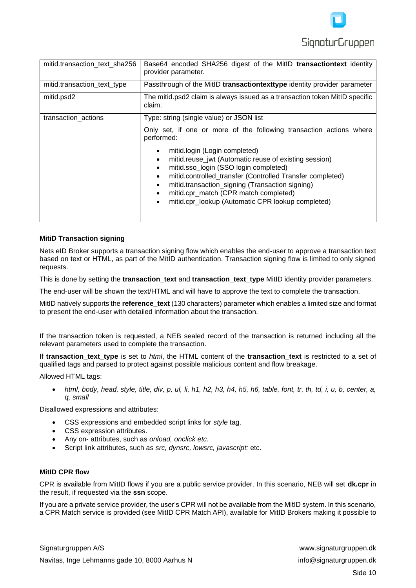

| mitid.transaction_text_sha256 | Base64 encoded SHA256 digest of the MitID transactiontext identity<br>provider parameter.                                                                                                                                                                                                                                                                                                                                |
|-------------------------------|--------------------------------------------------------------------------------------------------------------------------------------------------------------------------------------------------------------------------------------------------------------------------------------------------------------------------------------------------------------------------------------------------------------------------|
| mitid.transaction_text_type   | Passthrough of the MitID transactiontexttype identity provider parameter                                                                                                                                                                                                                                                                                                                                                 |
| mitid.psd2                    | The mitid.psd2 claim is always issued as a transaction token MitID specific<br>claim.                                                                                                                                                                                                                                                                                                                                    |
| transaction_actions           | Type: string (single value) or JSON list                                                                                                                                                                                                                                                                                                                                                                                 |
|                               | Only set, if one or more of the following transaction actions where<br>performed:                                                                                                                                                                                                                                                                                                                                        |
|                               | mitid.login (Login completed)<br>٠<br>mitid.reuse_jwt (Automatic reuse of existing session)<br>$\bullet$<br>mitid.sso_login (SSO login completed)<br>$\bullet$<br>mitid.controlled_transfer (Controlled Transfer completed)<br>$\bullet$<br>mitid.transaction_signing (Transaction signing)<br>$\bullet$<br>mitid.cpr_match (CPR match completed)<br>$\bullet$<br>mitid.cpr_lookup (Automatic CPR lookup completed)<br>٠ |

#### <span id="page-9-0"></span>**MitiD Transaction signing**

Nets eID Broker supports a transaction signing flow which enables the end-user to approve a transaction text based on text or HTML, as part of the MitID authentication. Transaction signing flow is limited to only signed requests.

This is done by setting the **transaction\_text** and **transaction\_text\_type** MitID identity provider parameters.

The end-user will be shown the text/HTML and will have to approve the text to complete the transaction.

MitID natively supports the **reference text** (130 characters) parameter which enables a limited size and format to present the end-user with detailed information about the transaction.

If the transaction token is requested, a NEB sealed record of the transaction is returned including all the relevant parameters used to complete the transaction.

If **transaction text type** is set to *html*, the HTML content of the **transaction text** is restricted to a set of qualified tags and parsed to protect against possible malicious content and flow breakage.

Allowed HTML tags:

• *html, body, head, style, title, div, p, ul, li, h1, h2, h3, h4, h5, h6, table, font, tr, th, td, i, u, b, center, a, q, small* 

Disallowed expressions and attributes:

- CSS expressions and embedded script links for *style* tag.
- CSS expression attributes.
- Any on- attributes, such as *onload, onclick etc.*
- Script link attributes, such as *src, dynsrc, lowsrc, javascript:* etc.

#### <span id="page-9-1"></span>**MitID CPR flow**

CPR is available from MitID flows if you are a public service provider. In this scenario, NEB will set **dk.cpr** in the result, if requested via the **ssn** scope.

If you are a private service provider, the user's CPR will not be available from the MitID system. In this scenario, a CPR Match service is provided (see MitID CPR Match API), available for MitID Brokers making it possible to

Signaturgruppen A/S www.signaturgruppen.dk Navitas, Inge Lehmanns gade 10, 8000 Aarhus N<br>info@signaturgruppen.dk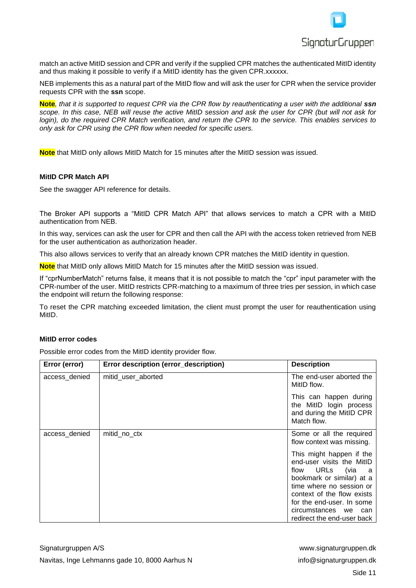

match an active MitID session and CPR and verify if the supplied CPR matches the authenticated MitID identity and thus making it possible to verify if a MitID identity has the given CPR.xxxxxx.

NEB implements this as a natural part of the MitID flow and will ask the user for CPR when the service provider requests CPR with the **ssn** scope.

**Note***, that it is supported to request CPR via the CPR flow by reauthenticating a user with the additional ssn scope. In this case, NEB will reuse the active MitID session and ask the user for CPR (but will not ask for login), do the required CPR Match verification, and return the CPR to the service. This enables services to only ask for CPR using the CPR flow when needed for specific users.*

**Note** that MitID only allows MitID Match for 15 minutes after the MitID session was issued.

#### <span id="page-10-0"></span>**MitID CPR Match API**

See the swagger API reference for details.

The Broker API supports a "MitID CPR Match API" that allows services to match a CPR with a MitID authentication from NEB.

In this way, services can ask the user for CPR and then call the API with the access token retrieved from NEB for the user authentication as authorization header.

This also allows services to verify that an already known CPR matches the MitID identity in question.

**Note** that MitID only allows MitID Match for 15 minutes after the MitID session was issued.

If "cprNumberMatch" returns false, it means that it is not possible to match the "cpr" input parameter with the CPR-number of the user. MitID restricts CPR-matching to a maximum of three tries per session, in which case the endpoint will return the following response:

To reset the CPR matching exceeded limitation, the client must prompt the user for reauthentication using MitID.

#### <span id="page-10-1"></span>**MitID error codes**

Possible error codes from the MitID identity provider flow.

| Error (error) | Error description (error_description) | <b>Description</b>                                                                                                                                                                                                                                  |  |  |  |  |
|---------------|---------------------------------------|-----------------------------------------------------------------------------------------------------------------------------------------------------------------------------------------------------------------------------------------------------|--|--|--|--|
| access_denied | mitid user aborted                    | The end-user aborted the<br>MitID flow.                                                                                                                                                                                                             |  |  |  |  |
|               |                                       | This can happen during<br>the MitID login process<br>and during the MitID CPR<br>Match flow.                                                                                                                                                        |  |  |  |  |
| access_denied | mitid_no_ctx                          | Some or all the required<br>flow context was missing.                                                                                                                                                                                               |  |  |  |  |
|               |                                       | This might happen if the<br>end-user visits the MitID<br>flow URLs (via a<br>bookmark or similar) at a<br>time where no session or<br>context of the flow exists<br>for the end-user. In some<br>circumstances we can<br>redirect the end-user back |  |  |  |  |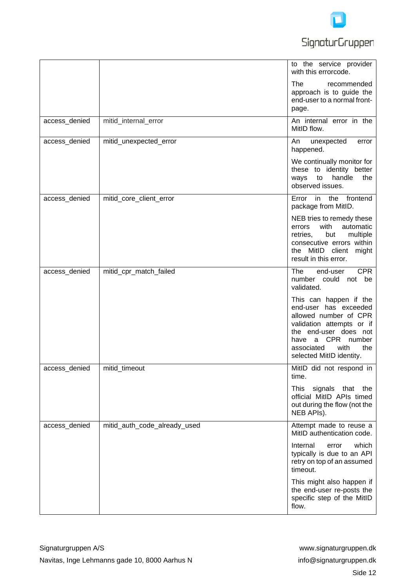

# **SignaturGruppen**

|               |                              | to the service provider<br>with this errorcode.                                                                                                                                                              |
|---------------|------------------------------|--------------------------------------------------------------------------------------------------------------------------------------------------------------------------------------------------------------|
|               |                              | The<br>recommended<br>approach is to guide the<br>end-user to a normal front-<br>page.                                                                                                                       |
| access_denied | mitid_internal_error         | An internal error in the<br>MitID flow.                                                                                                                                                                      |
| access_denied | mitid_unexpected_error       | An<br>unexpected<br>error<br>happened.                                                                                                                                                                       |
|               |                              | We continually monitor for<br>these to identity better<br>handle<br>the<br>ways<br>to<br>observed issues.                                                                                                    |
| access_denied | mitid_core_client_error      | Error in the frontend<br>package from MitID.                                                                                                                                                                 |
|               |                              | NEB tries to remedy these<br>with<br>automatic<br>errors<br>multiple<br>retries,<br>but<br>consecutive errors within<br>the MitID client<br>might<br>result in this error.                                   |
| access_denied | mitid_cpr_match_failed       | <b>CPR</b><br>The<br>end-user<br>number could not be<br>validated.                                                                                                                                           |
|               |                              | This can happen if the<br>end-user has exceeded<br>allowed number of CPR<br>validation attempts or if<br>the end-user does not<br>have a CPR number<br>associated<br>with<br>the<br>selected MitID identity. |
| access_denied | mitid timeout                | MitID did not respond in<br>time.                                                                                                                                                                            |
|               |                              | This<br>signals that<br>the<br>official MitID APIs timed<br>out during the flow (not the<br>NEB APIs).                                                                                                       |
| access_denied | mitid_auth_code_already_used | Attempt made to reuse a<br>MitID authentication code.                                                                                                                                                        |
|               |                              | which<br>Internal<br>error<br>typically is due to an API<br>retry on top of an assumed<br>timeout.                                                                                                           |
|               |                              | This might also happen if<br>the end-user re-posts the<br>specific step of the MitID<br>flow.                                                                                                                |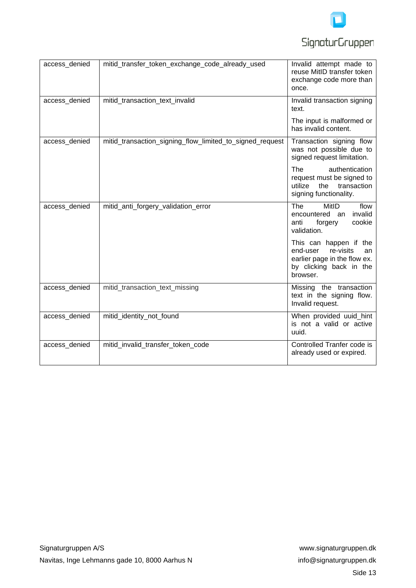

| access_denied | mitid_transfer_token_exchange_code_already_used          | Invalid attempt made to<br>reuse MitID transfer token<br>exchange code more than<br>once.                                    |  |  |  |
|---------------|----------------------------------------------------------|------------------------------------------------------------------------------------------------------------------------------|--|--|--|
| access_denied | mitid_transaction_text_invalid                           | Invalid transaction signing<br>text.                                                                                         |  |  |  |
|               |                                                          | The input is malformed or<br>has invalid content.                                                                            |  |  |  |
| access_denied | mitid_transaction_signing_flow_limited_to_signed_request | Transaction signing flow<br>was not possible due to<br>signed request limitation.                                            |  |  |  |
|               |                                                          | authentication<br><b>The</b><br>request must be signed to<br>the transaction<br>utilize<br>signing functionality.            |  |  |  |
| access_denied | mitid_anti_forgery_validation_error                      | <b>The</b><br>MitID<br>flow<br>encountered an<br>invalid<br>cookie<br>anti<br>forgery<br>validation.                         |  |  |  |
|               |                                                          | This can happen if the<br>re-visits<br>end-user<br>an<br>earlier page in the flow ex.<br>by clicking back in the<br>browser. |  |  |  |
| access_denied | mitid_transaction_text_missing                           | Missing the transaction<br>text in the signing flow.<br>Invalid request.                                                     |  |  |  |
| access_denied | mitid_identity_not_found                                 | When provided uuid_hint<br>is not a valid or active<br>uuid.                                                                 |  |  |  |
| access_denied | mitid_invalid_transfer_token_code                        | Controlled Tranfer code is<br>already used or expired.                                                                       |  |  |  |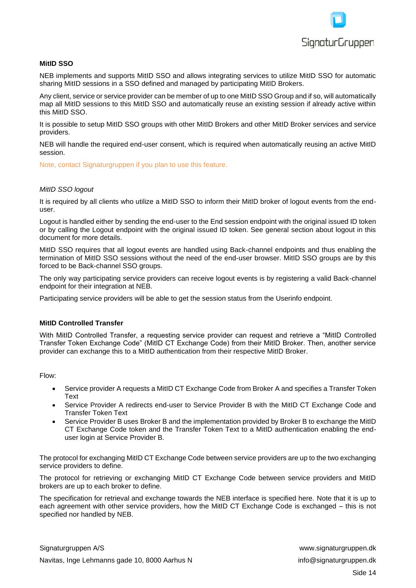

#### <span id="page-13-0"></span>**MitID SSO**

NEB implements and supports MitID SSO and allows integrating services to utilize MitID SSO for automatic sharing MitID sessions in a SSO defined and managed by participating MitID Brokers.

Any client, service or service provider can be member of up to one MitID SSO Group and if so, will automatically map all MitID sessions to this MitID SSO and automatically reuse an existing session if already active within this MitID SSO.

It is possible to setup MitID SSO groups with other MitID Brokers and other MitID Broker services and service providers.

NEB will handle the required end-user consent, which is required when automatically reusing an active MitID session.

Note, contact Signaturgruppen if you plan to use this feature.

#### *MitID SSO logout*

It is required by all clients who utilize a MitID SSO to inform their MitID broker of logout events from the enduser.

Logout is handled either by sending the end-user to the End session endpoint with the original issued ID token or by calling the Logout endpoint with the original issued ID token. See general section about logout in this document for more details.

MitID SSO requires that all logout events are handled using Back-channel endpoints and thus enabling the termination of MitID SSO sessions without the need of the end-user browser. MitID SSO groups are by this forced to be Back-channel SSO groups.

The only way participating service providers can receive logout events is by registering a valid Back-channel endpoint for their integration at NEB.

Participating service providers will be able to get the session status from the Userinfo endpoint.

#### <span id="page-13-1"></span>**MitID Controlled Transfer**

With MitID Controlled Transfer, a requesting service provider can request and retrieve a "MitID Controlled Transfer Token Exchange Code" (MitID CT Exchange Code) from their MitID Broker. Then, another service provider can exchange this to a MitID authentication from their respective MitID Broker.

Flow:

- Service provider A requests a MitID CT Exchange Code from Broker A and specifies a Transfer Token Text
- Service Provider A redirects end-user to Service Provider B with the MitID CT Exchange Code and Transfer Token Text
- Service Provider B uses Broker B and the implementation provided by Broker B to exchange the MitID CT Exchange Code token and the Transfer Token Text to a MitID authentication enabling the enduser login at Service Provider B.

The protocol for exchanging MitID CT Exchange Code between service providers are up to the two exchanging service providers to define.

The protocol for retrieving or exchanging MitID CT Exchange Code between service providers and MitID brokers are up to each broker to define.

The specification for retrieval and exchange towards the NEB interface is specified here. Note that it is up to each agreement with other service providers, how the MitID CT Exchange Code is exchanged – this is not specified nor handled by NEB.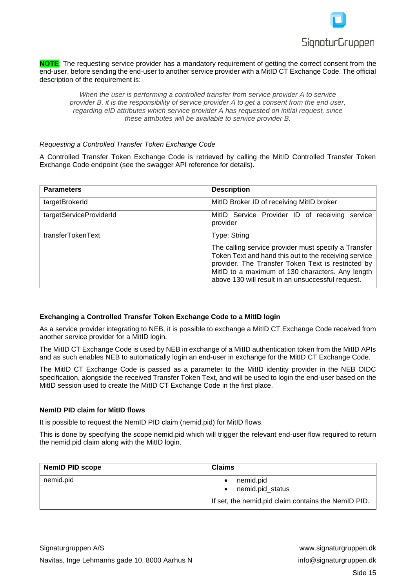

**NOTE**: The requesting service provider has a mandatory requirement of getting the correct consent from the end-user, before sending the end-user to another service provider with a MitID CT Exchange Code. The official description of the requirement is:

*When the user is performing a controlled transfer from service provider A to service provider B, it is the responsibility of service provider A to get a consent from the end user, regarding eID attributes which service provider A has requested on initial request, since these attributes will be available to service provider B.*

#### *Requesting a Controlled Transfer Token Exchange Code*

A Controlled Transfer Token Exchange Code is retrieved by calling the MitID Controlled Transfer Token Exchange Code endpoint (see the swagger API reference for details).

| <b>Parameters</b>       | <b>Description</b>                                                                                                                                                                                                                                                           |  |  |  |  |
|-------------------------|------------------------------------------------------------------------------------------------------------------------------------------------------------------------------------------------------------------------------------------------------------------------------|--|--|--|--|
| targetBrokerId          | MitID Broker ID of receiving MitID broker                                                                                                                                                                                                                                    |  |  |  |  |
| targetServiceProviderId | MitID Service Provider ID of receiving service<br>provider                                                                                                                                                                                                                   |  |  |  |  |
| transferTokenText       | Type: String                                                                                                                                                                                                                                                                 |  |  |  |  |
|                         | The calling service provider must specify a Transfer<br>Token Text and hand this out to the receiving service<br>provider. The Transfer Token Text is restricted by<br>MitID to a maximum of 130 characters. Any length<br>above 130 will result in an unsuccessful request. |  |  |  |  |

#### <span id="page-14-0"></span>**Exchanging a Controlled Transfer Token Exchange Code to a MitID login**

As a service provider integrating to NEB, it is possible to exchange a MitID CT Exchange Code received from another service provider for a MitID login.

The MitID CT Exchange Code is used by NEB in exchange of a MitID authentication token from the MitID APIs and as such enables NEB to automatically login an end-user in exchange for the MitID CT Exchange Code.

The MitID CT Exchange Code is passed as a parameter to the MitID identity provider in the NEB OIDC specification, alongside the received Transfer Token Text, and will be used to login the end-user based on the MitID session used to create the MitID CT Exchange Code in the first place.

#### <span id="page-14-1"></span>**NemID PID claim for MitID flows**

It is possible to request the NemID PID claim (nemid.pid) for MitID flows.

This is done by specifying the scope nemid.pid which will trigger the relevant end-user flow required to return the nemid.pid claim along with the MitID login.

| <b>NemID PID scope</b> | <b>Claims</b>                                                                                          |  |  |  |
|------------------------|--------------------------------------------------------------------------------------------------------|--|--|--|
| nemid.pid              | nemid.pid<br>٠<br>nemid.pid status<br>$\bullet$<br>If set, the nemid.pid claim contains the NemID PID. |  |  |  |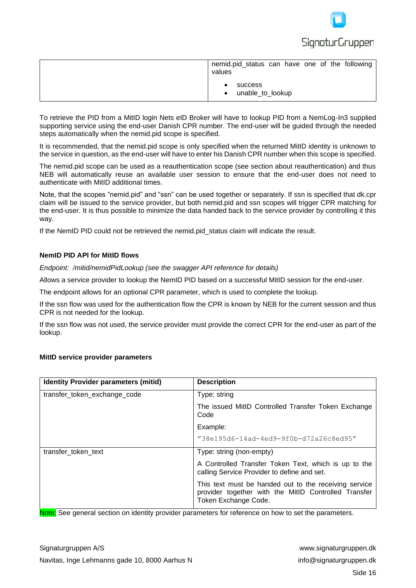

| nemid.pid_status can have one of the following<br>values |
|----------------------------------------------------------|
| success<br>unable_to_lookup<br>$\bullet$                 |

To retrieve the PID from a MitID login Nets eID Broker will have to lookup PID from a NemLog-In3 supplied supporting service using the end-user Danish CPR number. The end-user will be guided through the needed steps automatically when the nemid.pid scope is specified.

It is recommended, that the nemid.pid scope is only specified when the returned MitID identity is unknown to the service in question, as the end-user will have to enter his Danish CPR number when this scope is specified.

The nemid.pid scope can be used as a reauthentication scope (see section about reauthentication) and thus NEB will automatically reuse an available user session to ensure that the end-user does not need to authenticate with MitID additional times.

Note, that the scopes "nemid.pid" and "ssn" can be used together or separately. If ssn is specified that dk.cpr claim will be issued to the service provider, but both nemid.pid and ssn scopes will trigger CPR matching for the end-user. It is thus possible to minimize the data handed back to the service provider by controlling it this way.

If the NemID PID could not be retrieved the nemid.pid status claim will indicate the result.

#### <span id="page-15-0"></span>**NemID PID API for MitID flows**

*Endpoint: /mitid/nemidPidLookup (see the swagger API reference for details)*

Allows a service provider to lookup the NemID PID based on a successful MitID session for the end-user.

The endpoint allows for an optional CPR parameter, which is used to complete the lookup.

If the ssn flow was used for the authentication flow the CPR is known by NEB for the current session and thus CPR is not needed for the lookup.

If the ssn flow was not used, the service provider must provide the correct CPR for the end-user as part of the lookup.

#### <span id="page-15-1"></span>**MitID service provider parameters**

| <b>Identity Provider parameters (mitid)</b> | <b>Description</b>                                                                                                                    |  |  |  |  |
|---------------------------------------------|---------------------------------------------------------------------------------------------------------------------------------------|--|--|--|--|
| transfer_token_exchange_code                | Type: string                                                                                                                          |  |  |  |  |
|                                             | The issued MitID Controlled Transfer Token Exchange<br>Code                                                                           |  |  |  |  |
|                                             | Example:                                                                                                                              |  |  |  |  |
|                                             | $"38e195d6-14ad-4ed9-9f0b-d72a26c8ed95"$                                                                                              |  |  |  |  |
| transfer token text                         | Type: string (non-empty)                                                                                                              |  |  |  |  |
|                                             | A Controlled Transfer Token Text, which is up to the<br>calling Service Provider to define and set.                                   |  |  |  |  |
|                                             | This text must be handed out to the receiving service<br>provider together with the MitID Controlled Transfer<br>Token Exchange Code. |  |  |  |  |

Note: See general section on identity provider parameters for reference on how to set the parameters.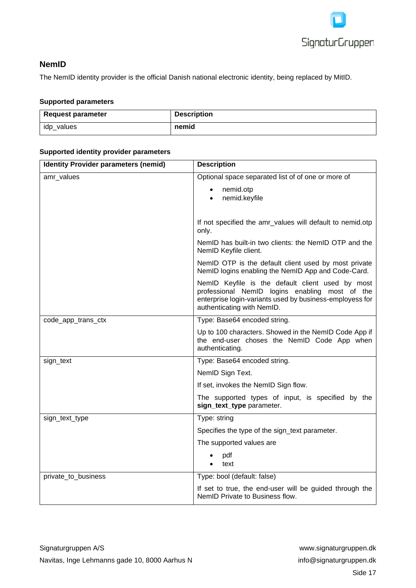

# <span id="page-16-0"></span>**NemID**

The NemID identity provider is the official Danish national electronic identity, being replaced by MitID.

#### <span id="page-16-1"></span>**Supported parameters**

| Request parameter | <b>Description</b> |
|-------------------|--------------------|
| idp_values        | nemid              |

#### <span id="page-16-2"></span>**Supported identity provider parameters**

| <b>Identity Provider parameters (nemid)</b> | <b>Description</b>                                                                                                                                                                           |  |  |  |
|---------------------------------------------|----------------------------------------------------------------------------------------------------------------------------------------------------------------------------------------------|--|--|--|
| amr_values                                  | Optional space separated list of of one or more of                                                                                                                                           |  |  |  |
|                                             | nemid.otp<br>$\bullet$                                                                                                                                                                       |  |  |  |
|                                             | nemid.keyfile<br>$\bullet$                                                                                                                                                                   |  |  |  |
|                                             |                                                                                                                                                                                              |  |  |  |
|                                             | If not specified the amr_values will default to nemid.otp<br>only.                                                                                                                           |  |  |  |
|                                             | NemID has built-in two clients: the NemID OTP and the<br>NemID Keyfile client.                                                                                                               |  |  |  |
|                                             | NemID OTP is the default client used by most private<br>NemID logins enabling the NemID App and Code-Card.                                                                                   |  |  |  |
|                                             | NemID Keyfile is the default client used by most<br>professional NemID logins enabling most of the<br>enterprise login-variants used by business-employess for<br>authenticating with NemID. |  |  |  |
| code_app_trans_ctx                          | Type: Base64 encoded string.                                                                                                                                                                 |  |  |  |
|                                             | Up to 100 characters. Showed in the NemID Code App if<br>the end-user choses the NemID Code App when<br>authenticating.                                                                      |  |  |  |
| sign_text                                   | Type: Base64 encoded string.                                                                                                                                                                 |  |  |  |
|                                             | NemID Sign Text.                                                                                                                                                                             |  |  |  |
|                                             | If set, invokes the NemID Sign flow.                                                                                                                                                         |  |  |  |
|                                             | The supported types of input, is specified by the<br>sign_text_type parameter.                                                                                                               |  |  |  |
| sign_text_type                              | Type: string                                                                                                                                                                                 |  |  |  |
|                                             | Specifies the type of the sign_text parameter.                                                                                                                                               |  |  |  |
|                                             | The supported values are                                                                                                                                                                     |  |  |  |
|                                             | pdf<br>text                                                                                                                                                                                  |  |  |  |
| private_to_business                         | Type: bool (default: false)                                                                                                                                                                  |  |  |  |
|                                             | If set to true, the end-user will be guided through the<br>NemID Private to Business flow.                                                                                                   |  |  |  |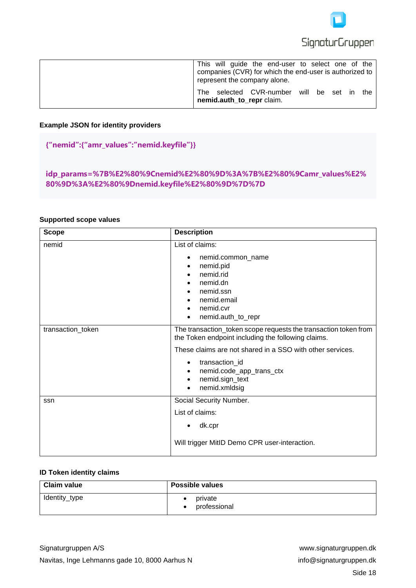

|  |                           | This will guide the end-user to select one of the<br>companies (CVR) for which the end-user is authorized to $\vert$<br>represent the company alone. |  |  |  |
|--|---------------------------|------------------------------------------------------------------------------------------------------------------------------------------------------|--|--|--|
|  | nemid.auth_to_repr claim. | The selected CVR-number will be set in the                                                                                                           |  |  |  |

#### <span id="page-17-0"></span>**Example JSON for identity providers**

# **{"nemid":{"amr\_values":"nemid.keyfile"}}**

**idp\_params=%7B%E2%80%9Cnemid%E2%80%9D%3A%7B%E2%80%9Camr\_values%E2% 80%9D%3A%E2%80%9Dnemid.keyfile%E2%80%9D%7D%7D**

#### <span id="page-17-1"></span>**Supported scope values**

| <b>Scope</b>      | <b>Description</b>                                                                                                                                                                                                                                                                                       |
|-------------------|----------------------------------------------------------------------------------------------------------------------------------------------------------------------------------------------------------------------------------------------------------------------------------------------------------|
| nemid             | List of claims:<br>nemid.common_name<br>٠<br>nemid.pid<br>$\bullet$<br>nemid.rid<br>$\bullet$<br>nemid.dn<br>$\bullet$<br>nemid.ssn<br>nemid.email<br>nemid.cvr<br>$\bullet$<br>nemid.auth_to_repr<br>$\bullet$                                                                                          |
| transaction_token | The transaction_token scope requests the transaction token from<br>the Token endpoint including the following claims.<br>These claims are not shared in a SSO with other services.<br>transaction_id<br>$\bullet$<br>nemid.code_app_trans_ctx<br>٠<br>nemid.sign_text<br>$\bullet$<br>nemid.xmldsig<br>٠ |
| ssn               | Social Security Number.<br>List of claims:<br>dk.cpr<br>Will trigger MitID Demo CPR user-interaction.                                                                                                                                                                                                    |

#### <span id="page-17-2"></span>**ID Token identity claims**

| Claim value   | <b>Possible values</b>  |
|---------------|-------------------------|
| Identity_type | private<br>professional |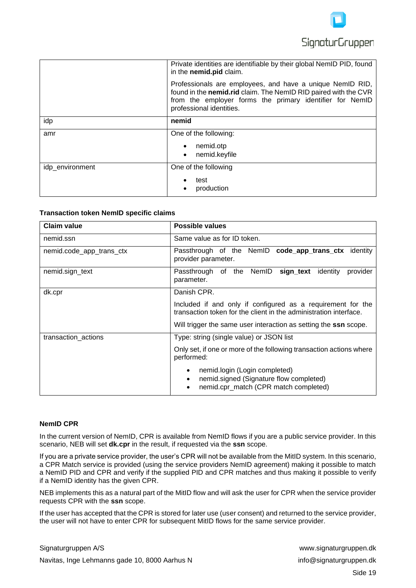

|                 | Private identities are identifiable by their global NemID PID, found<br>in the nemid.pid claim.                                                                                                                      |
|-----------------|----------------------------------------------------------------------------------------------------------------------------------------------------------------------------------------------------------------------|
|                 | Professionals are employees, and have a unique NemID RID,<br>found in the nemid.rid claim. The NemID RID paired with the CVR<br>from the employer forms the primary identifier for NemID<br>professional identities. |
| idp             | nemid                                                                                                                                                                                                                |
| amr             | One of the following:                                                                                                                                                                                                |
|                 | nemid.otp<br>nemid.keyfile                                                                                                                                                                                           |
| idp_environment | One of the following                                                                                                                                                                                                 |
|                 | test<br>production                                                                                                                                                                                                   |

#### **Transaction token NemID specific claims**

| Claim value              | <b>Possible values</b>                                                                                                                      |  |
|--------------------------|---------------------------------------------------------------------------------------------------------------------------------------------|--|
| nemid.ssn                | Same value as for ID token.                                                                                                                 |  |
| nemid.code_app_trans_ctx | Passthrough of the NemID code_app_trans_ctx identity<br>provider parameter.                                                                 |  |
| nemid.sign_text          | Passthrough of the NemID<br>sign_text<br>identity<br>provider<br>parameter.                                                                 |  |
| dk.cpr                   | Danish CPR.                                                                                                                                 |  |
|                          | Included if and only if configured as a requirement for the<br>transaction token for the client in the administration interface.            |  |
|                          | Will trigger the same user interaction as setting the ssn scope.                                                                            |  |
| transaction_actions      | Type: string (single value) or JSON list                                                                                                    |  |
|                          | Only set, if one or more of the following transaction actions where<br>performed:                                                           |  |
|                          | nemid.login (Login completed)<br>$\bullet$<br>nemid.signed (Signature flow completed)<br>$\bullet$<br>nemid.cpr_match (CPR match completed) |  |

#### <span id="page-18-0"></span>**NemID CPR**

In the current version of NemID, CPR is available from NemID flows if you are a public service provider. In this scenario, NEB will set **dk.cpr** in the result, if requested via the **ssn** scope.

If you are a private service provider, the user's CPR will not be available from the MitID system. In this scenario, a CPR Match service is provided (using the service providers NemID agreement) making it possible to match a NemID PID and CPR and verify if the supplied PID and CPR matches and thus making it possible to verify if a NemID identity has the given CPR.

NEB implements this as a natural part of the MitID flow and will ask the user for CPR when the service provider requests CPR with the **ssn** scope.

If the user has accepted that the CPR is stored for later use (user consent) and returned to the service provider, the user will not have to enter CPR for subsequent MitID flows for the same service provider.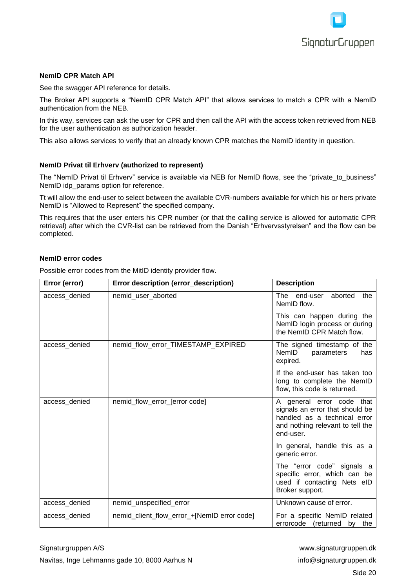

#### <span id="page-19-0"></span>**NemID CPR Match API**

See the swagger API reference for details.

The Broker API supports a "NemID CPR Match API" that allows services to match a CPR with a NemID authentication from the NEB.

In this way, services can ask the user for CPR and then call the API with the access token retrieved from NEB for the user authentication as authorization header.

This also allows services to verify that an already known CPR matches the NemID identity in question.

#### <span id="page-19-1"></span>**NemID Privat til Erhverv (authorized to represent)**

The "NemID Privat til Erhverv" service is available via NEB for NemID flows, see the "private to business" NemID idp\_params option for reference.

Tt will allow the end-user to select between the available CVR-numbers available for which his or hers private NemID is "Allowed to Represent" the specified company.

This requires that the user enters his CPR number (or that the calling service is allowed for automatic CPR retrieval) after which the CVR-list can be retrieved from the Danish "Erhvervsstyrelsen" and the flow can be completed.

#### <span id="page-19-2"></span>**NemID error codes**

Possible error codes from the MitID identity provider flow.

| Error (error) | Error description (error_description)       | <b>Description</b>                                                                                                                            |
|---------------|---------------------------------------------|-----------------------------------------------------------------------------------------------------------------------------------------------|
| access denied | nemid_user_aborted                          | The end-user aborted<br>the<br>NemID flow.                                                                                                    |
|               |                                             | This can happen during the<br>NemID login process or during<br>the NemID CPR Match flow.                                                      |
| access_denied | nemid_flow_error_TIMESTAMP_EXPIRED          | The signed timestamp of the<br>NemID<br>parameters<br>has<br>expired.                                                                         |
|               |                                             | If the end-user has taken too<br>long to complete the NemID<br>flow, this code is returned.                                                   |
| access_denied | nemid_flow_error_[error code]               | A general error code that<br>signals an error that should be<br>handled as a technical error<br>and nothing relevant to tell the<br>end-user. |
|               |                                             | In general, handle this as a<br>generic error.                                                                                                |
|               |                                             | The "error code" signals a<br>specific error, which can be<br>used if contacting Nets eID<br>Broker support.                                  |
| access_denied | nemid_unspecified_error                     | Unknown cause of error.                                                                                                                       |
| access_denied | nemid_client_flow_error_+[NemID error code] | For a specific NemID related<br>errorcode (returned by the                                                                                    |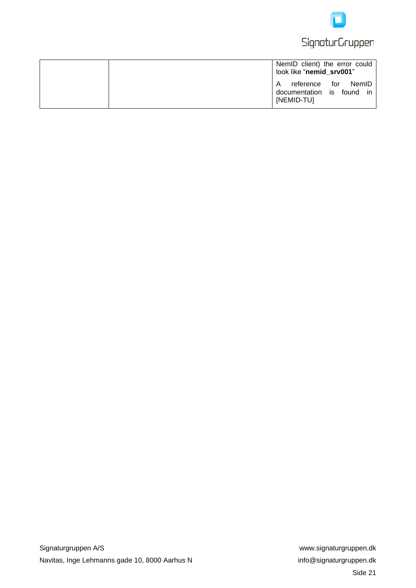

# **SignaturGruppen**

|  | NemID client) the error could<br>look like "nemid_srv001"           |
|--|---------------------------------------------------------------------|
|  | reference for NemID<br>A<br>documentation is found in<br>[NEMID-TU] |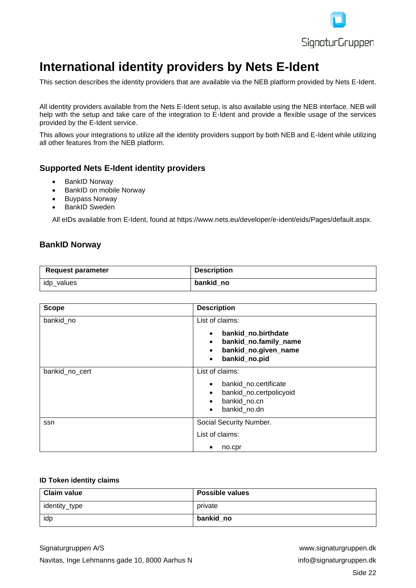

# <span id="page-21-0"></span>**International identity providers by Nets E-Ident**

This section describes the identity providers that are available via the NEB platform provided by Nets E-Ident.

All identity providers available from the Nets E-Ident setup, is also available using the NEB interface. NEB will help with the setup and take care of the integration to E-Ident and provide a flexible usage of the services provided by the E-Ident service.

This allows your integrations to utilize all the identity providers support by both NEB and E-Ident while utilizing all other features from the NEB platform.

# <span id="page-21-1"></span>**Supported Nets E-Ident identity providers**

- BankID Norway
- BankID on mobile Norway
- Buypass Norway
- BankID Sweden

All eIDs available from E-Ident, found at https://www.nets.eu/developer/e-ident/eids/Pages/default.aspx.

# <span id="page-21-2"></span>**BankID Norway**

| <b>Request parameter</b> | <b>Description</b> |
|--------------------------|--------------------|
| idp_values               | bankid no          |

| <b>Scope</b>   | <b>Description</b>                                                                                                                        |  |
|----------------|-------------------------------------------------------------------------------------------------------------------------------------------|--|
| bankid_no      | List of claims:                                                                                                                           |  |
|                | bankid_no.birthdate<br>$\bullet$<br>bankid_no.family_name<br>$\bullet$<br>bankid_no.given_name<br>$\bullet$<br>bankid_no.pid<br>$\bullet$ |  |
| bankid_no_cert | List of claims:                                                                                                                           |  |
|                | bankid_no.certificate<br>$\bullet$<br>bankid_no.certpolicyoid<br>$\bullet$<br>bankid_no.cn<br>bankid_no.dn<br>$\bullet$                   |  |
| ssn            | Social Security Number.                                                                                                                   |  |
|                | List of claims:                                                                                                                           |  |
|                | no.cpr                                                                                                                                    |  |

#### <span id="page-21-3"></span>**ID Token identity claims**

| Claim value   | <b>Possible values</b> |
|---------------|------------------------|
| identity_type | private                |
| idp           | bankid no              |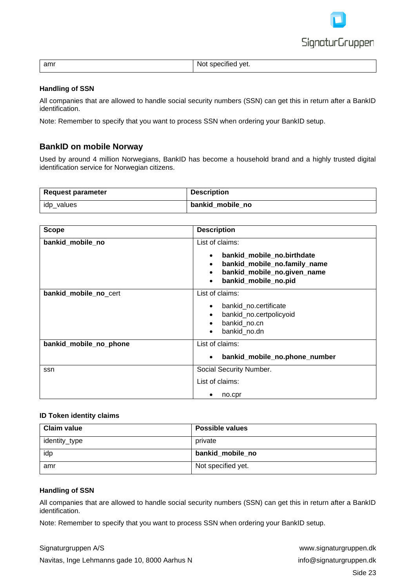

| amr | .<br>Not specified yet. |
|-----|-------------------------|

#### <span id="page-22-0"></span>**Handling of SSN**

All companies that are allowed to handle social security numbers (SSN) can get this in return after a BankID identification.

Note: Remember to specify that you want to process SSN when ordering your BankID setup.

# <span id="page-22-1"></span>**BankID on mobile Norway**

Used by around 4 million Norwegians, BankID has become a household brand and a highly trusted digital identification service for Norwegian citizens.

| Request parameter | <b>Description</b> |
|-------------------|--------------------|
| idp_values        | bankid mobile no   |

| <b>Scope</b>           | <b>Description</b>                                                                                                                                                          |  |
|------------------------|-----------------------------------------------------------------------------------------------------------------------------------------------------------------------------|--|
| bankid_mobile_no       | List of claims:<br>bankid_mobile_no.birthdate<br>$\bullet$<br>bankid_mobile_no.family_name<br>bankid_mobile_no.given_name<br>$\bullet$<br>bankid_mobile_no.pid<br>$\bullet$ |  |
| bankid_mobile_no_cert  | List of claims:<br>bankid_no.certificate<br>$\bullet$<br>bankid_no.certpolicyoid<br>bankid_no.cn<br>bankid no.dn<br>$\bullet$                                               |  |
| bankid_mobile_no_phone | List of claims:<br>bankid_mobile_no.phone_number<br>٠                                                                                                                       |  |
| ssn                    | Social Security Number.<br>List of claims:<br>no.cpr                                                                                                                        |  |

#### <span id="page-22-2"></span>**ID Token identity claims**

| <b>Claim value</b> | <b>Possible values</b> |
|--------------------|------------------------|
| identity_type      | private                |
| idp                | bankid mobile no       |
| amr                | Not specified yet.     |

#### <span id="page-22-3"></span>**Handling of SSN**

All companies that are allowed to handle social security numbers (SSN) can get this in return after a BankID identification.

Note: Remember to specify that you want to process SSN when ordering your BankID setup.

Signaturgruppen A/S www.signaturgruppen.dk

Navitas, Inge Lehmanns gade 10, 8000 Aarhus N info@signaturgruppen.dk Side 23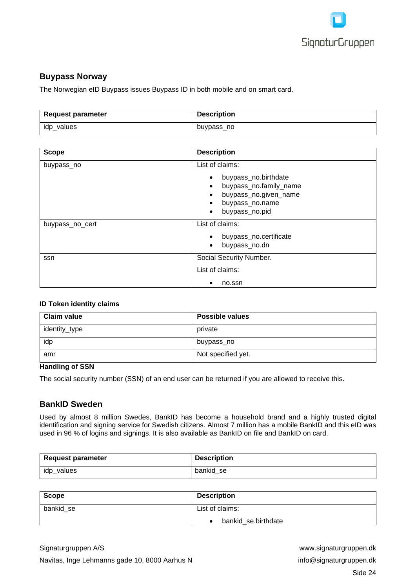

# <span id="page-23-0"></span>**Buypass Norway**

The Norwegian eID Buypass issues Buypass ID in both mobile and on smart card.

| <b>Request parameter</b> | <b>Description</b> |
|--------------------------|--------------------|
| idp_values               | buypass_no         |

| <b>Scope</b>    | <b>Description</b>                 |
|-----------------|------------------------------------|
| buypass_no      | List of claims:                    |
|                 | buypass_no.birthdate               |
|                 | buypass_no.family_name             |
|                 | buypass_no.given_name<br>$\bullet$ |
|                 | buypass_no.name                    |
|                 | buypass_no.pid<br>$\bullet$        |
| buypass_no_cert | List of claims:                    |
|                 | buypass_no.certificate             |
|                 | buypass_no.dn<br>$\bullet$         |
| ssn             | Social Security Number.            |
|                 | List of claims:                    |
|                 | no.ssn<br>٠                        |

#### <span id="page-23-1"></span>**ID Token identity claims**

| <b>Claim value</b> | <b>Possible values</b> |
|--------------------|------------------------|
| identity_type      | private                |
| idp                | buypass_no             |
| amr                | Not specified yet.     |

#### <span id="page-23-2"></span>**Handling of SSN**

The social security number (SSN) of an end user can be returned if you are allowed to receive this.

### <span id="page-23-3"></span>**BankID Sweden**

Used by almost 8 million Swedes, BankID has become a household brand and a highly trusted digital identification and signing service for Swedish citizens. Almost 7 million has a mobile BankID and this eID was used in 96 % of logins and signings. It is also available as BankID on file and BankID on card.

| Request parameter | <b>Description</b> |
|-------------------|--------------------|
| idp_values        | bankid se          |

| Scope     | <b>Description</b>  |
|-----------|---------------------|
| bankid se | List of claims:     |
|           | bankid_se.birthdate |